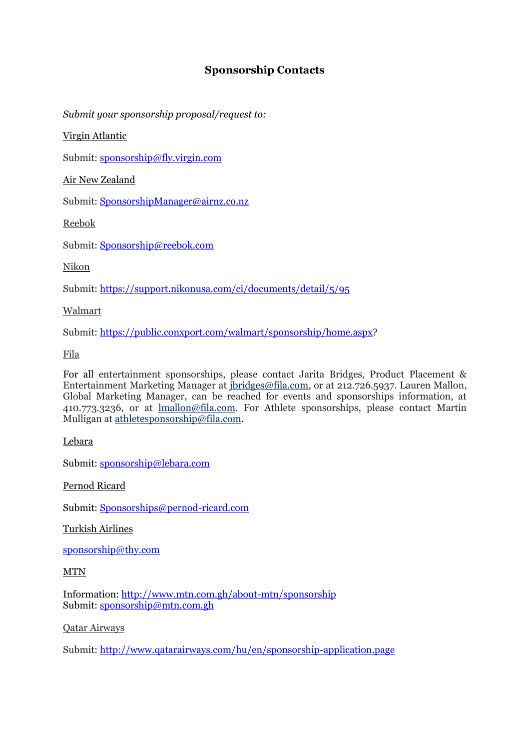# **Sponsorship Contacts**

*Submit your sponsorship proposal/request to:*

Virgin Atlantic

Submit: [sponsorship@fly.virgin.com](mailto:sponsorship@fly.virgin.com)

Air New Zealand

Submit: [SponsorshipManager@airnz.co.nz](mailto:SponsorshipManager@airnz.co.nz)

Reebok

Submit: [Sponsorship@reebok.com](mailto:Sponsorship@reebok.com)

Nikon

Submit:<https://support.nikonusa.com/ci/documents/detail/5/95>

Walmart

Submit: [https://public.conxport.com/walmart/sponsorship/home.aspx?](https://public.conxport.com/walmart/sponsorship/home.aspx)

Fila

For all entertainment sponsorships, please contact Jarita Bridges, Product Placement & Entertainment Marketing Manager at [jbridges@fila.com,](mailto:jbridges@fila.com) or at 212.726.5937. Lauren Mallon, Global Marketing Manager, can be reached for events and sponsorships information, at 410.773.3236, or at [lmallon@fila.com.](mailto:lmallon@fila.com) For Athlete sponsorships, please contact Martin Mulligan at [athletesponsorship@fila.com.](mailto:lmallon@fila.com)

Lebara

Submit: [sponsorship@lebara.com](mailto:sponsorship@lebara.com)

Pernod Ricard

Submit: [Sponsorships@pernod-ricard.com](mailto:Sponsorships@pernod-ricard.com)

Turkish Airlines

[sponsorship@thy.com](mailto:sponsorship@thy.com)

MTN

Information:<http://www.mtn.com.gh/about-mtn/sponsorship> Submit: [sponsorship@mtn.com.gh](mailto:sponsorship@mtn.com.gh)

Qatar Airways

Submit:<http://www.qatarairways.com/hu/en/sponsorship-application.page>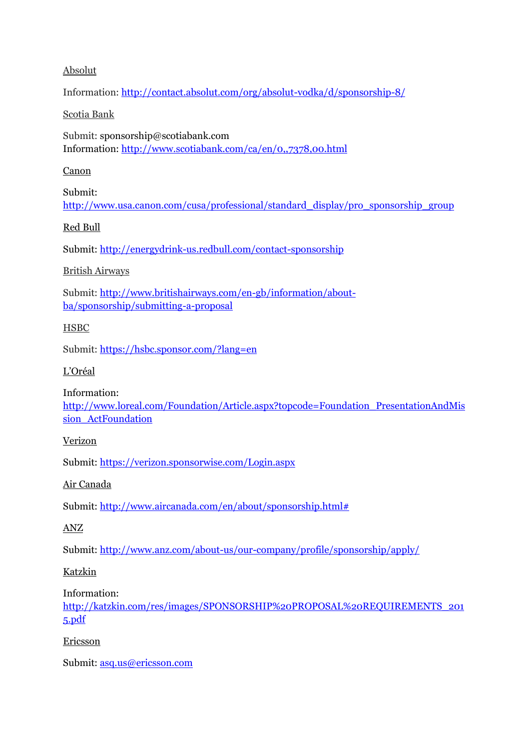### Absolut

Information:<http://contact.absolut.com/org/absolut-vodka/d/sponsorship-8/>

### Scotia Bank

Submit: [sponsorship@scotiabank.com](mailto:sponsorship@scotiabank.com) Information:<http://www.scotiabank.com/ca/en/0,,7378,00.html>

### Canon

Submit: [http://www.usa.canon.com/cusa/professional/standard\\_display/pro\\_sponsorship\\_group](http://www.usa.canon.com/cusa/professional/standard_display/pro_sponsorship_group)

# Red Bull

Submit:<http://energydrink-us.redbull.com/contact-sponsorship>

# British Airways

Submit: [http://www.britishairways.com/en-gb/information/about](http://www.britishairways.com/en-gb/information/about-ba/sponsorship/submitting-a-proposal)[ba/sponsorship/submitting-a-proposal](http://www.britishairways.com/en-gb/information/about-ba/sponsorship/submitting-a-proposal)

# HSBC

Submit:<https://hsbc.sponsor.com/?lang=en>

### L'Oréal

Information:

[http://www.loreal.com/Foundation/Article.aspx?topcode=Foundation\\_PresentationAndMis](http://www.loreal.com/Foundation/Article.aspx?topcode=Foundation_PresentationAndMission_ActFoundation) [sion\\_ActFoundation](http://www.loreal.com/Foundation/Article.aspx?topcode=Foundation_PresentationAndMission_ActFoundation)

# Verizon

Submit:<https://verizon.sponsorwise.com/Login.aspx>

Air Canada

Submit: [http://www.aircanada.com/en/about/sponsorship.html#](http://www.aircanada.com/en/about/sponsorship.html)

# ANZ

Submit:<http://www.anz.com/about-us/our-company/profile/sponsorship/apply/>

# Katzkin

Information:

[http://katzkin.com/res/images/SPONSORSHIP%20PROPOSAL%20REQUIREMENTS\\_201](http://katzkin.com/res/images/SPONSORSHIP%20PROPOSAL%20REQUIREMENTS_2015.pdf) [5.pdf](http://katzkin.com/res/images/SPONSORSHIP%20PROPOSAL%20REQUIREMENTS_2015.pdf)

# Ericsson

Submit: [asq.us@ericsson.com](mailto:asq.us@ericsson.com)